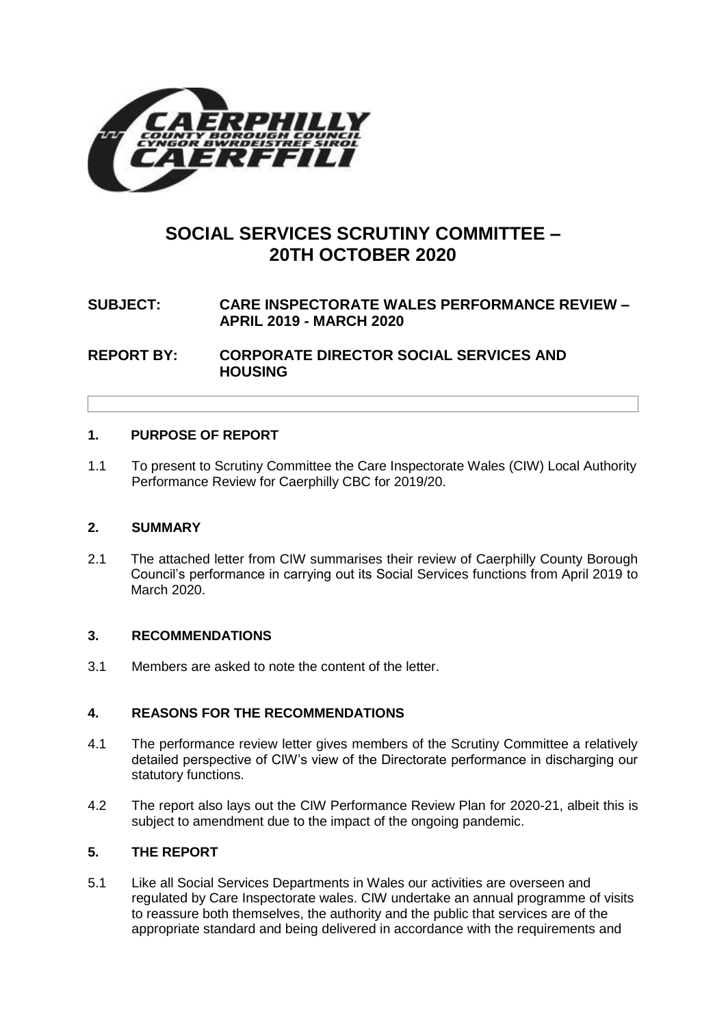

# **SOCIAL SERVICES SCRUTINY COMMITTEE – 20TH OCTOBER 2020**

## **SUBJECT: CARE INSPECTORATE WALES PERFORMANCE REVIEW – APRIL 2019 - MARCH 2020**

**REPORT BY: CORPORATE DIRECTOR SOCIAL SERVICES AND HOUSING**

#### **1. PURPOSE OF REPORT**

1.1 To present to Scrutiny Committee the Care Inspectorate Wales (CIW) Local Authority Performance Review for Caerphilly CBC for 2019/20.

#### **2. SUMMARY**

2.1 The attached letter from CIW summarises their review of Caerphilly County Borough Council's performance in carrying out its Social Services functions from April 2019 to March 2020.

#### **3. RECOMMENDATIONS**

3.1 Members are asked to note the content of the letter.

#### **4. REASONS FOR THE RECOMMENDATIONS**

- 4.1 The performance review letter gives members of the Scrutiny Committee a relatively detailed perspective of CIW's view of the Directorate performance in discharging our statutory functions.
- 4.2 The report also lays out the CIW Performance Review Plan for 2020-21, albeit this is subject to amendment due to the impact of the ongoing pandemic.

### **5. THE REPORT**

5.1 Like all Social Services Departments in Wales our activities are overseen and regulated by Care Inspectorate wales. CIW undertake an annual programme of visits to reassure both themselves, the authority and the public that services are of the appropriate standard and being delivered in accordance with the requirements and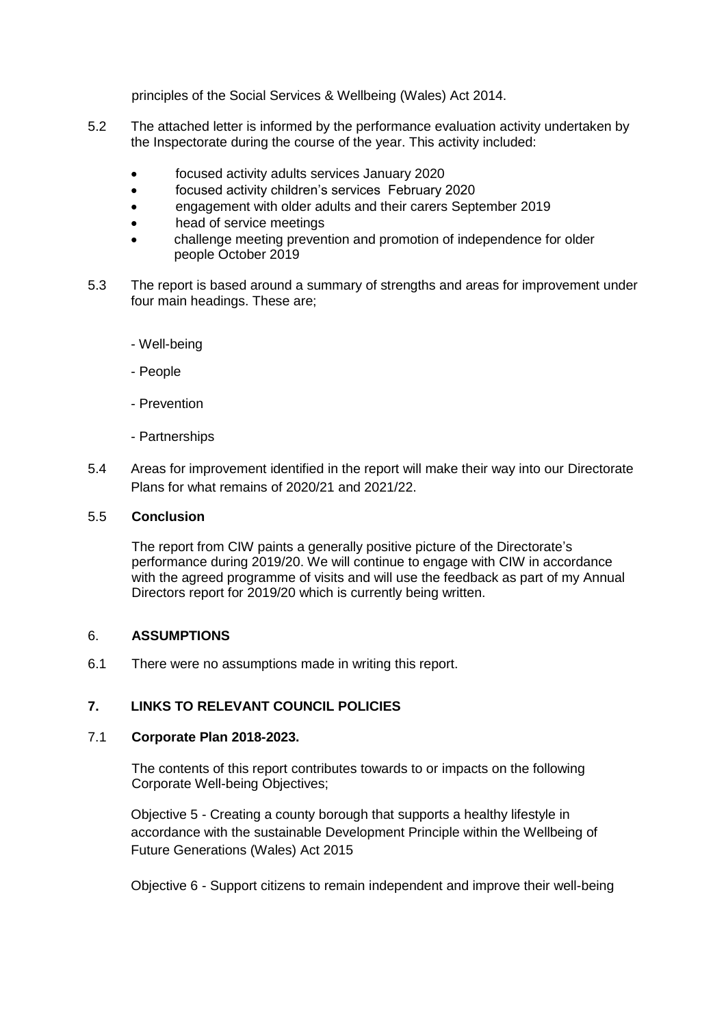principles of the Social Services & Wellbeing (Wales) Act 2014.

- 5.2 The attached letter is informed by the performance evaluation activity undertaken by the Inspectorate during the course of the year. This activity included:
	- focused activity adults services January 2020
	- focused activity children's services February 2020
	- engagement with older adults and their carers September 2019
	- head of service meetings
	- challenge meeting prevention and promotion of independence for older people October 2019
- 5.3 The report is based around a summary of strengths and areas for improvement under four main headings. These are;
	- Well-being
	- People
	- Prevention
	- Partnerships
- 5.4 Areas for improvement identified in the report will make their way into our Directorate Plans for what remains of 2020/21 and 2021/22.

#### 5.5 **Conclusion**

The report from CIW paints a generally positive picture of the Directorate's performance during 2019/20. We will continue to engage with CIW in accordance with the agreed programme of visits and will use the feedback as part of my Annual Directors report for 2019/20 which is currently being written.

#### 6. **ASSUMPTIONS**

6.1 There were no assumptions made in writing this report.

#### **7. LINKS TO RELEVANT COUNCIL POLICIES**

#### 7.1 **Corporate Plan 2018-2023.**

The contents of this report contributes towards to or impacts on the following Corporate Well-being Objectives;

Objective 5 - Creating a county borough that supports a healthy lifestyle in accordance with the sustainable Development Principle within the Wellbeing of Future Generations (Wales) Act 2015

Objective 6 - Support citizens to remain independent and improve their well-being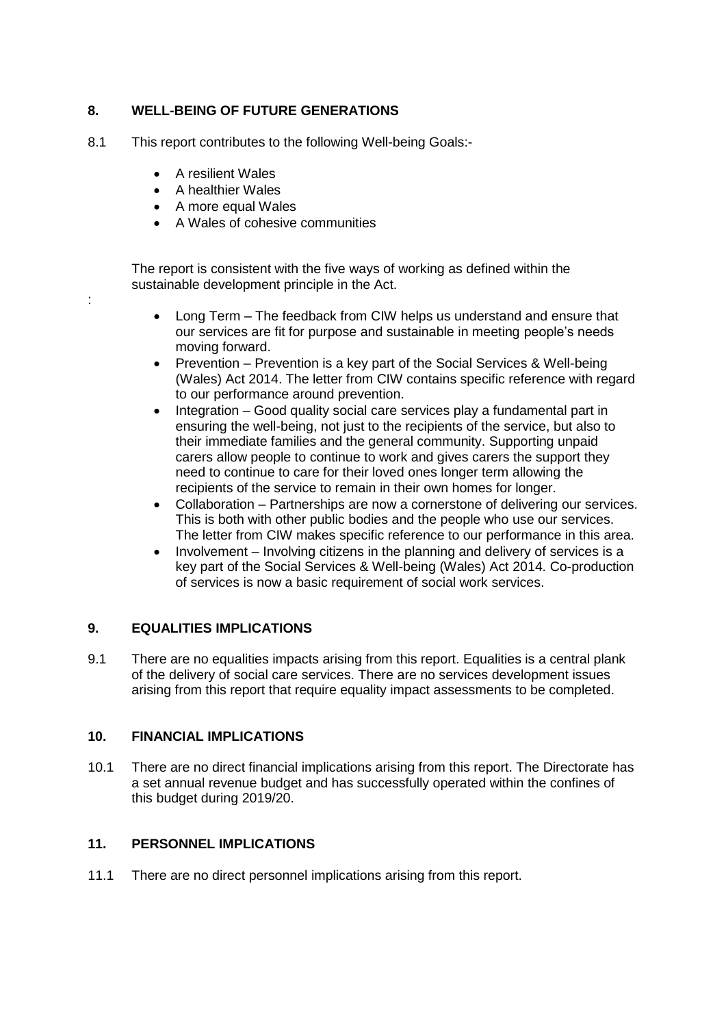## **8. WELL-BEING OF FUTURE GENERATIONS**

- 8.1 This report contributes to the following Well-being Goals:-
	- A resilient Wales

:

- A healthier Wales
- A more equal Wales
- A Wales of cohesive communities

The report is consistent with the five ways of working as defined within the sustainable development principle in the Act.

- Long Term The feedback from CIW helps us understand and ensure that our services are fit for purpose and sustainable in meeting people's needs moving forward.
- Prevention Prevention is a key part of the Social Services & Well-being (Wales) Act 2014. The letter from CIW contains specific reference with regard to our performance around prevention.
- Integration Good quality social care services play a fundamental part in ensuring the well-being, not just to the recipients of the service, but also to their immediate families and the general community. Supporting unpaid carers allow people to continue to work and gives carers the support they need to continue to care for their loved ones longer term allowing the recipients of the service to remain in their own homes for longer.
- Collaboration Partnerships are now a cornerstone of delivering our services. This is both with other public bodies and the people who use our services. The letter from CIW makes specific reference to our performance in this area.
- Involvement Involving citizens in the planning and delivery of services is a key part of the Social Services & Well-being (Wales) Act 2014. Co-production of services is now a basic requirement of social work services.

## **9. EQUALITIES IMPLICATIONS**

9.1 There are no equalities impacts arising from this report. Equalities is a central plank of the delivery of social care services. There are no services development issues arising from this report that require equality impact assessments to be completed.

#### **10. FINANCIAL IMPLICATIONS**

10.1 There are no direct financial implications arising from this report. The Directorate has a set annual revenue budget and has successfully operated within the confines of this budget during 2019/20.

## **11. PERSONNEL IMPLICATIONS**

11.1 There are no direct personnel implications arising from this report.